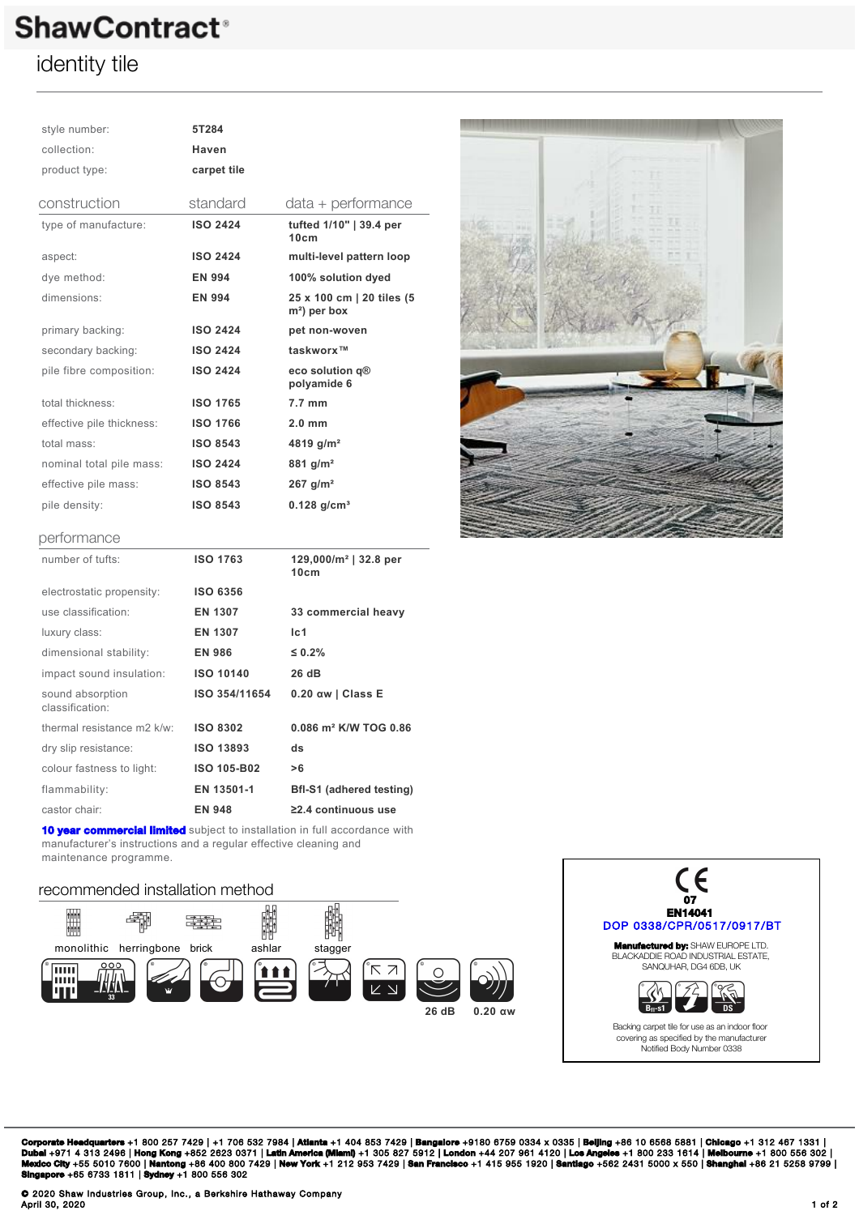# **ShawContract<sup>®</sup>**

### identity tile

| style number:                       | 5T284            |                                                       |
|-------------------------------------|------------------|-------------------------------------------------------|
| collection:                         | Haven            |                                                       |
| product type:                       | carpet tile      |                                                       |
| construction                        | standard         | data + performance                                    |
| type of manufacture:                | <b>ISO 2424</b>  | tufted 1/10"   39.4 per<br>10cm                       |
| aspect:                             | <b>ISO 2424</b>  | multi-level pattern loop                              |
| dye method:                         | <b>EN 994</b>    | 100% solution dyed                                    |
| dimensions:                         | <b>EN 994</b>    | 25 x 100 cm   20 tiles (5<br>m <sup>2</sup> ) per box |
| primary backing:                    | <b>ISO 2424</b>  | pet non-woven                                         |
| secondary backing:                  | <b>ISO 2424</b>  | taskworx™                                             |
| pile fibre composition:             | <b>ISO 2424</b>  | eco solution q®<br>polyamide 6                        |
| total thickness:                    | <b>ISO 1765</b>  | $7.7 \text{ mm}$                                      |
| effective pile thickness:           | <b>ISO 1766</b>  | $2.0 \text{ mm}$                                      |
| total mass:                         | <b>ISO 8543</b>  | 4819 g/m <sup>2</sup>                                 |
| nominal total pile mass:            | <b>ISO 2424</b>  | 881 $g/m^2$                                           |
| effective pile mass:                | <b>ISO 8543</b>  | $267$ g/m <sup>2</sup>                                |
| pile density:                       | <b>ISO 8543</b>  | $0.128$ g/cm <sup>3</sup>                             |
| performance                         |                  |                                                       |
| number of tufts:                    | <b>ISO 1763</b>  | $129,000/m^2$   32.8 per<br>10cm                      |
| electrostatic propensity:           | <b>ISO 6356</b>  |                                                       |
| use classification:                 | <b>EN 1307</b>   | 33 commercial heavy                                   |
| luxury class:                       | <b>EN 1307</b>   | Ic <sub>1</sub>                                       |
| dimensional stability:              | <b>EN 986</b>    | $\leq 0.2\%$                                          |
| impact sound insulation:            | <b>ISO 10140</b> | 26 dB                                                 |
| sound absorption<br>classification: | ISO 354/11654    | $0.20$ aw   Class E                                   |
| thermal resistance m2 k/w:          | <b>ISO 8302</b>  | $0.086$ m <sup>2</sup> K/W TOG $0.86$                 |
| dry elin registance:                | 19043893         | de.                                                   |



| TIUTHDEL OF TUITS.                  | 130 1763           | 129,000/111 <sup>-</sup> 192.0 per<br>10cm |
|-------------------------------------|--------------------|--------------------------------------------|
| electrostatic propensity:           | <b>ISO 6356</b>    |                                            |
| use classification:                 | EN 1307            | 33 commercial heavy                        |
| luxury class:                       | EN 1307            | Ic1                                        |
| dimensional stability:              | <b>EN 986</b>      | $\leq 0.2\%$                               |
| impact sound insulation:            | <b>ISO 10140</b>   | 26 dB                                      |
| sound absorption<br>classification: | ISO 354/11654      | $0.20$ aw   Class E                        |
| thermal resistance m2 k/w:          | <b>ISO 8302</b>    | 0.086 m <sup>2</sup> K/W TOG 0.86          |
| dry slip resistance:                | <b>ISO 13893</b>   | ds                                         |
| colour fastness to light:           | <b>ISO 105-B02</b> | >6                                         |
| flammability:                       | EN 13501-1         | <b>Bfl-S1 (adhered testing)</b>            |
| castor chair:                       | <b>EN 948</b>      | $\geq$ 2.4 continuous use                  |
|                                     |                    |                                            |

**[10 year commercial limited](https://qmsview.shawinc.com/viewer/doc/5285)** subject to installation in full accordance with manufacturer's instructions and a regular effective cleaning and maintenance programme.

### recommended installation method





**Corporate Headquarters** +1 800 257 7429 | +1 706 532 7984 | **Atlanta** +1 404 853 7429 | **Bangalore** +9180 6759 0334 x 0335 | **Beijing** +86 10 6568 5881 | **Chicago** +1 312 467 1331 |<br>Dubal +971 4 313 2496 | Hong Kong +852